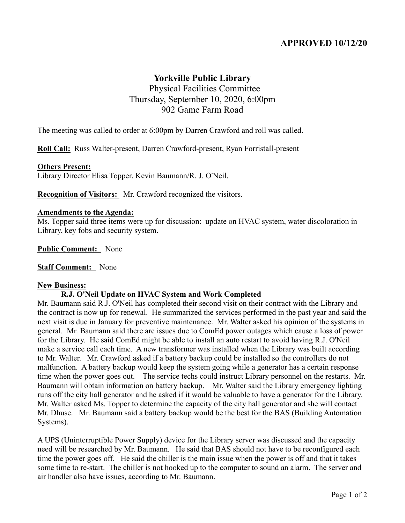# **APPROVED 10/12/20**

## **Yorkville Public Library**

 Physical Facilities Committee Thursday, September 10, 2020, 6:00pm 902 Game Farm Road

The meeting was called to order at 6:00pm by Darren Crawford and roll was called.

**Roll Call:** Russ Walter-present, Darren Crawford-present, Ryan Forristall-present

#### **Others Present:**

Library Director Elisa Topper, Kevin Baumann/R. J. O'Neil.

**Recognition of Visitors:** Mr. Crawford recognized the visitors.

#### **Amendments to the Agenda:**

Ms. Topper said three items were up for discussion: update on HVAC system, water discoloration in Library, key fobs and security system.

**Public Comment:** None

**Staff Comment:** None

#### **New Business:**

#### **R.J. O'Neil Update on HVAC System and Work Completed**

Mr. Baumann said R.J. O'Neil has completed their second visit on their contract with the Library and the contract is now up for renewal. He summarized the services performed in the past year and said the next visit is due in January for preventive maintenance. Mr. Walter asked his opinion of the systems in general. Mr. Baumann said there are issues due to ComEd power outages which cause a loss of power for the Library. He said ComEd might be able to install an auto restart to avoid having R.J. O'Neil make a service call each time. A new transformer was installed when the Library was built according to Mr. Walter. Mr. Crawford asked if a battery backup could be installed so the controllers do not malfunction. A battery backup would keep the system going while a generator has a certain response time when the power goes out. The service techs could instruct Library personnel on the restarts. Mr. Baumann will obtain information on battery backup. Mr. Walter said the Library emergency lighting runs off the city hall generator and he asked if it would be valuable to have a generator for the Library. Mr. Walter asked Ms. Topper to determine the capacity of the city hall generator and she will contact Mr. Dhuse. Mr. Baumann said a battery backup would be the best for the BAS (Building Automation Systems).

A UPS (Uninterruptible Power Supply) device for the Library server was discussed and the capacity need will be researched by Mr. Baumann. He said that BAS should not have to be reconfigured each time the power goes off. He said the chiller is the main issue when the power is off and that it takes some time to re-start. The chiller is not hooked up to the computer to sound an alarm. The server and air handler also have issues, according to Mr. Baumann.